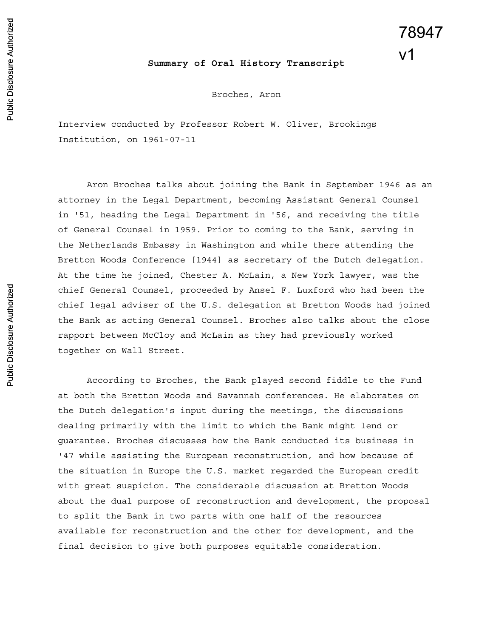## **Summary of Oral History Transcript**

Broches, Aron

Interview conducted by Professor Robert W. Oliver, Brookings Institution, on 1961-07-11

Aron Broches talks about joining the Bank in September 1946 as an attorney in the Legal Department, becoming Assistant General Counsel in '51, heading the Legal Department in '56, and receiving the title of General Counsel in 1959. Prior to coming to the Bank, serving in the Netherlands Embassy in Washington and while there attending the Bretton Woods Conference [1944] as secretary of the Dutch delegation. At the time he joined, Chester A. McLain, a New York lawyer, was the chief General Counsel, proceeded by Ansel F. Luxford who had been the chief legal adviser of the U.S. delegation at Bretton Woods had joined the Bank as acting General Counsel. Broches also talks about the close rapport between McCloy and McLain as they had previously worked together on Wall Street.

According to Broches, the Bank played second fiddle to the Fund at both the Bretton Woods and Savannah conferences. He elaborates on the Dutch delegation's input during the meetings, the discussions dealing primarily with the limit to which the Bank might lend or guarantee. Broches discusses how the Bank conducted its business in '47 while assisting the European reconstruction, and how because of the situation in Europe the U.S. market regarded the European credit with great suspicion. The considerable discussion at Bretton Woods about the dual purpose of reconstruction and development, the proposal to split the Bank in two parts with one half of the resources available for reconstruction and the other for development, and the final decision to give both purposes equitable consideration.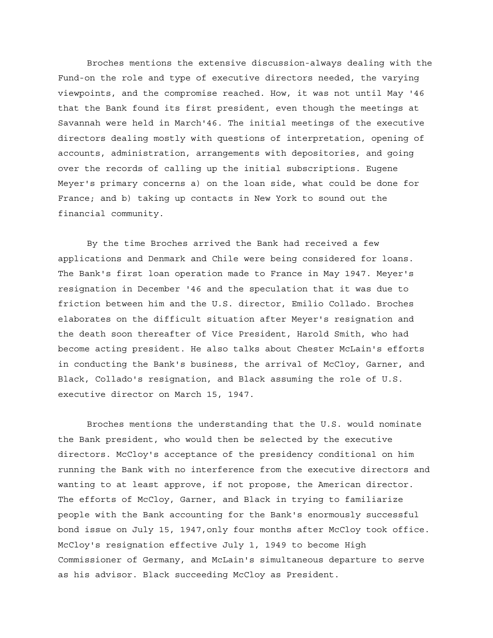Broches mentions the extensive discussion-always dealing with the Fund-on the role and type of executive directors needed, the varying viewpoints, and the compromise reached. How, it was not until May '46 that the Bank found its first president, even though the meetings at Savannah were held in March'46. The initial meetings of the executive directors dealing mostly with questions of interpretation, opening of accounts, administration, arrangements with depositories, and going over the records of calling up the initial subscriptions. Eugene Meyer's primary concerns a) on the loan side, what could be done for France; and b) taking up contacts in New York to sound out the financial community.

By the time Broches arrived the Bank had received a few applications and Denmark and Chile were being considered for loans. The Bank's first loan operation made to France in May 1947. Meyer's resignation in December '46 and the speculation that it was due to friction between him and the U.S. director, Emilio Collado. Broches elaborates on the difficult situation after Meyer's resignation and the death soon thereafter of Vice President, Harold Smith, who had become acting president. He also talks about Chester McLain's efforts in conducting the Bank's business, the arrival of McCloy, Garner, and Black, Collado's resignation, and Black assuming the role of U.S. executive director on March 15, 1947.

Broches mentions the understanding that the U.S. would nominate the Bank president, who would then be selected by the executive directors. McCloy's acceptance of the presidency conditional on him running the Bank with no interference from the executive directors and wanting to at least approve, if not propose, the American director. The efforts of McCloy, Garner, and Black in trying to familiarize people with the Bank accounting for the Bank's enormously successful bond issue on July 15, 1947,only four months after McCloy took office. McCloy's resignation effective July 1, 1949 to become High Commissioner of Germany, and McLain's simultaneous departure to serve as his advisor. Black succeeding McCloy as President.